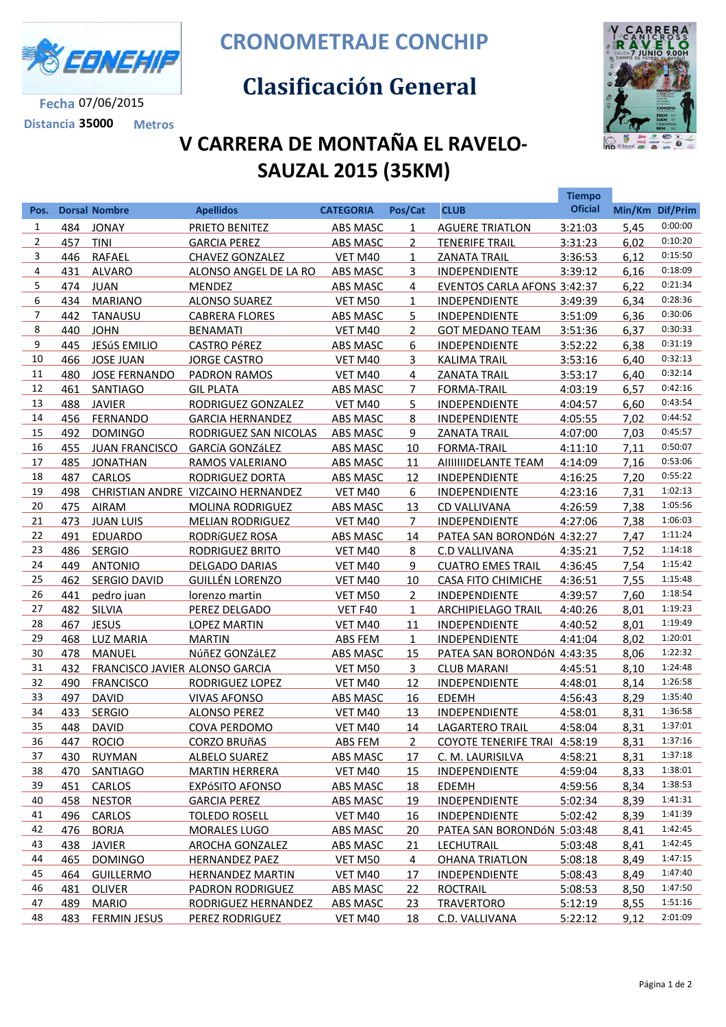

**Fecha** 07/06/2015 **Distancia 35000 Metros** **CRONOMETRAJE CONCHIP**

## **Clasificación General**



## **V CARRERA DE MONTAÑA EL RAVELO-SAUZAL 2015 (35KM)**

|                |     |                                |                                    |                  |                |                                     | <b>Tiempo</b>  |      |                 |
|----------------|-----|--------------------------------|------------------------------------|------------------|----------------|-------------------------------------|----------------|------|-----------------|
| Pos.           |     | <b>Dorsal Nombre</b>           | <b>Apellidos</b>                   | <b>CATEGORIA</b> | Pos/Cat        | <b>CLUB</b>                         | <b>Oficial</b> |      | Min/Km Dif/Prim |
| $\mathbf{1}$   | 484 | <b>JONAY</b>                   | PRIETO BENITEZ                     | ABS MASC         | $\mathbf{1}$   | <b>AGUERE TRIATLON</b>              | 3:21:03        | 5,45 | 0:00:00         |
| $\overline{2}$ | 457 | <b>TINI</b>                    | <b>GARCIA PEREZ</b>                | ABS MASC         | $\overline{2}$ | <b>TENERIFE TRAIL</b>               | 3:31:23        | 6,02 | 0:10:20         |
| 3              | 446 | <b>RAFAEL</b>                  | <b>CHAVEZ GONZALEZ</b>             | VET M40          | $\mathbf{1}$   | <b>ZANATA TRAIL</b>                 | 3:36:53        | 6,12 | 0:15:50         |
| 4              | 431 | <b>ALVARO</b>                  | ALONSO ANGEL DE LA RO              | ABS MASC         | 3              | INDEPENDIENTE                       | 3:39:12        | 6,16 | 0:18:09         |
| 5              | 474 | <b>JUAN</b>                    | <b>MENDEZ</b>                      | ABS MASC         | $\overline{4}$ | EVENTOS CARLA AFONS 3:42:37         |                | 6,22 | 0:21:34         |
| 6              | 434 | <b>MARIANO</b>                 | <b>ALONSO SUAREZ</b>               | VET M50          | $\mathbf{1}$   | <b>INDEPENDIENTE</b>                | 3:49:39        | 6,34 | 0:28:36         |
| 7              | 442 | TANAUSU                        | <b>CABRERA FLORES</b>              | ABS MASC         | 5              | <b>INDEPENDIENTE</b>                | 3:51:09        | 6,36 | 0:30:06         |
| 8              | 440 | <b>JOHN</b>                    | <b>BENAMATI</b>                    | <b>VET M40</b>   | $\overline{2}$ | <b>GOT MEDANO TEAM</b>              | 3:51:36        | 6,37 | 0:30:33         |
| 9              | 445 | <b>JESÚS EMILIO</b>            | <b>CASTRO PéREZ</b>                | ABS MASC         | 6              | <b>INDEPENDIENTE</b>                | 3:52:22        | 6,38 | 0:31:19         |
| 10             | 466 | <b>JOSE JUAN</b>               | <b>JORGE CASTRO</b>                | VET M40          | 3              | <b>KALIMA TRAIL</b>                 | 3:53:16        | 6,40 | 0:32:13         |
| 11             | 480 | <b>JOSE FERNANDO</b>           | <b>PADRON RAMOS</b>                | VET M40          | 4              | <b>ZANATA TRAIL</b>                 | 3:53:17        | 6,40 | 0:32:14         |
| 12             | 461 | SANTIAGO                       | <b>GIL PLATA</b>                   | <b>ABS MASC</b>  | $\overline{7}$ | <b>FORMA-TRAIL</b>                  | 4:03:19        | 6,57 | 0:42:16         |
| 13             | 488 | <b>JAVIER</b>                  | RODRIGUEZ GONZALEZ                 | <b>VET M40</b>   | 5              | <b>INDEPENDIENTE</b>                | 4:04:57        | 6,60 | 0:43:54         |
| 14             |     | 456 FERNANDO                   | <b>GARCIA HERNANDEZ</b>            | ABS MASC         | 8              | <b>INDEPENDIENTE</b>                | 4:05:55        | 7,02 | 0:44:52         |
| 15             | 492 | <b>DOMINGO</b>                 | RODRIGUEZ SAN NICOLAS              | ABS MASC         | 9              | <b>ZANATA TRAIL</b>                 | 4:07:00        | 7,03 | 0:45:57         |
| 16             | 455 | JUAN FRANCISCO                 | <b>GARCÍA GONZÁLEZ</b>             | ABS MASC         | 10             | <b>FORMA-TRAIL</b>                  | 4:11:10        | 7,11 | 0:50:07         |
| 17             | 485 | JONATHAN                       | RAMOS VALERIANO                    | ABS MASC         | 11             | AIIIIIIDELANTE TEAM                 | 4:14:09        | 7,16 | 0:53:06         |
| 18             | 487 | <b>CARLOS</b>                  | RODRIGUEZ DORTA                    | ABS MASC         | 12             | <b>INDEPENDIENTE</b>                | 4:16:25        | 7,20 | 0:55:22         |
| 19             | 498 |                                | CHRISTIAN ANDRE VIZCAINO HERNANDEZ | VET M40          | 6              | <b>INDEPENDIENTE</b>                | 4:23:16        | 7,31 | 1:02:13         |
| 20             |     | 475 AIRAM                      | <b>MOLINA RODRIGUEZ</b>            | ABS MASC         | 13             | <b>CD VALLIVANA</b>                 | 4:26:59        | 7,38 | 1:05:56         |
| 21             | 473 | <b>JUAN LUIS</b>               | <b>MELIAN RODRIGUEZ</b>            | VET M40          | $\overline{7}$ | <b>INDEPENDIENTE</b>                | 4:27:06        | 7,38 | 1:06:03         |
| 22             | 491 | <b>EDUARDO</b>                 | RODRÍGUEZ ROSA                     | <b>ABS MASC</b>  | 14             | PATEA SAN BORONDÓN 4:32:27          |                | 7,47 | 1:11:24         |
| 23             | 486 | <b>SERGIO</b>                  | RODRIGUEZ BRITO                    | VET M40          | 8              | <b>C.D VALLIVANA</b>                | 4:35:21        | 7,52 | 1:14:18         |
| 24             | 449 | <b>ANTONIO</b>                 | <b>DELGADO DARIAS</b>              | VET M40          | 9              | <b>CUATRO EMES TRAIL</b>            | 4:36:45        | 7,54 | 1:15:42         |
| 25             | 462 | SERGIO DAVID                   | <b>GUILLÉN LORENZO</b>             | VET M40          | 10             | <b>CASA FITO CHIMICHE</b>           | 4:36:51        | 7,55 | 1:15:48         |
| 26             | 441 | pedro juan                     | lorenzo martin                     | VET M50          | $\overline{2}$ | <b>INDEPENDIENTE</b>                | 4:39:57        | 7,60 | 1:18:54         |
| 27             | 482 | SILVIA                         | PEREZ DELGADO                      | VET F40          | $\mathbf{1}$   | <b>ARCHIPIELAGO TRAIL</b>           | 4:40:26        | 8,01 | 1:19:23         |
| 28             | 467 | <b>JESUS</b>                   | <b>LOPEZ MARTIN</b>                | VET M40          | 11             | INDEPENDIENTE                       | 4:40:52        | 8,01 | 1:19:49         |
| 29             | 468 | <b>LUZ MARIA</b>               | <b>MARTIN</b>                      | ABS FEM          | $\mathbf{1}$   | <b>INDEPENDIENTE</b>                | 4:41:04        | 8,02 | 1:20:01         |
| 30             | 478 | MANUEL                         | NúñEZ GONZáLEZ                     | ABS MASC         | 15             | PATEA SAN BORONDÓN 4:43:35          |                | 8,06 | 1:22:32         |
| 31             | 432 | FRANCISCO JAVIER ALONSO GARCIA |                                    | VET M50          | 3              | <b>CLUB MARANI</b>                  | 4:45:51        | 8,10 | 1:24:48         |
| 32             | 490 | <b>FRANCISCO</b>               | <b>RODRIGUEZ LOPEZ</b>             | VET M40          | 12             | <b>INDEPENDIENTE</b>                | 4:48:01        | 8,14 | 1:26:58         |
| 33             | 497 | <b>DAVID</b>                   | <b>VIVAS AFONSO</b>                | <b>ABS MASC</b>  | 16             | <b>EDEMH</b>                        | 4:56:43        | 8,29 | 1:35:40         |
| 34             | 433 | <b>SERGIO</b>                  | <b>ALONSO PEREZ</b>                | VET M40          | 13             | <b>INDEPENDIENTE</b>                | 4:58:01        | 8,31 | 1:36:58         |
| 35             | 448 | <b>DAVID</b>                   | <b>COVA PERDOMO</b>                | VET M40          | 14             | <b>LAGARTERO TRAIL</b>              | 4:58:04        | 8.31 | 1:37:01         |
| 36             | 447 | <b>ROCIO</b>                   | <b>CORZO BRUñAS</b>                | <b>ABS FEM</b>   | 2              | <b>COYOTE TENERIFE TRAI 4:58:19</b> |                | 8,31 | 1:37:16         |
| 37             | 430 | <b>RUYMAN</b>                  | <b>ALBELO SUAREZ</b>               | <b>ABS MASC</b>  | 17             | C. M. LAURISILVA                    | 4:58:21        | 8,31 | 1:37:18         |
| 38             | 470 | SANTIAGO                       | <b>MARTIN HERRERA</b>              | <b>VET M40</b>   | 15             | <b>INDEPENDIENTE</b>                | 4:59:04        | 8,33 | 1:38:01         |
| 39             | 451 | <b>CARLOS</b>                  | <b>EXPÓSITO AFONSO</b>             | <b>ABS MASC</b>  | <u>18</u>      | <b>EDEMH</b>                        | 4:59:56        | 8,34 | 1:38:53         |
| 40             | 458 | <b>NESTOR</b>                  | <b>GARCIA PEREZ</b>                | <b>ABS MASC</b>  | 19             | <b>INDEPENDIENTE</b>                | 5:02:34        | 8,39 | 1:41:31         |
| 41             | 496 | CARLOS                         | <b>TOLEDO ROSELL</b>               | <b>VET M40</b>   | <u>16</u>      | <b>INDEPENDIENTE</b>                | 5:02:42        | 8,39 | 1:41:39         |
| 42             | 476 | <b>BORJA</b>                   | <b>MORALES LUGO</b>                | <b>ABS MASC</b>  | <u>20</u>      | PATEA SAN BORONDÓN 5:03:48          |                | 8,41 | 1:42:45         |
| 43             | 438 | <b>JAVIER</b>                  | <b>AROCHA GONZALEZ</b>             | <b>ABS MASC</b>  | <u>21</u>      | LECHUTRAIL                          | 5:03:48        | 8,41 | 1:42:45         |
| 44             | 465 | <b>DOMINGO</b>                 | <b>HERNANDEZ PAEZ</b>              | <b>VET M50</b>   | 4              | <b>OHANA TRIATLON</b>               | 5:08:18        | 8,49 | 1:47:15         |
| 45             | 464 | <b>GUILLERMO</b>               | <b>HERNANDEZ MARTIN</b>            | <b>VET M40</b>   | <u>17</u>      | <b>INDEPENDIENTE</b>                | 5:08:43        | 8,49 | 1:47:40         |
| 46             | 481 | <b>OLIVER</b>                  | <b>PADRON RODRIGUEZ</b>            | <b>ABS MASC</b>  | <u>22</u>      | <b>ROCTRAIL</b>                     | 5:08:53        | 8,50 | 1:47:50         |
| 47             | 489 | <b>MARIO</b>                   | RODRIGUEZ HERNANDEZ                | <b>ABS MASC</b>  | <u>23</u>      | <b>TRAVERTORO</b>                   | 5:12:19        | 8,55 | 1:51:16         |
| 48             | 483 | <b>FERMIN JESUS</b>            | <b>PEREZ RODRIGUEZ</b>             | <b>VET M40</b>   | 18             | C.D. VALLIVANA                      | 5:22:12        | 9,12 | 2:01:09         |